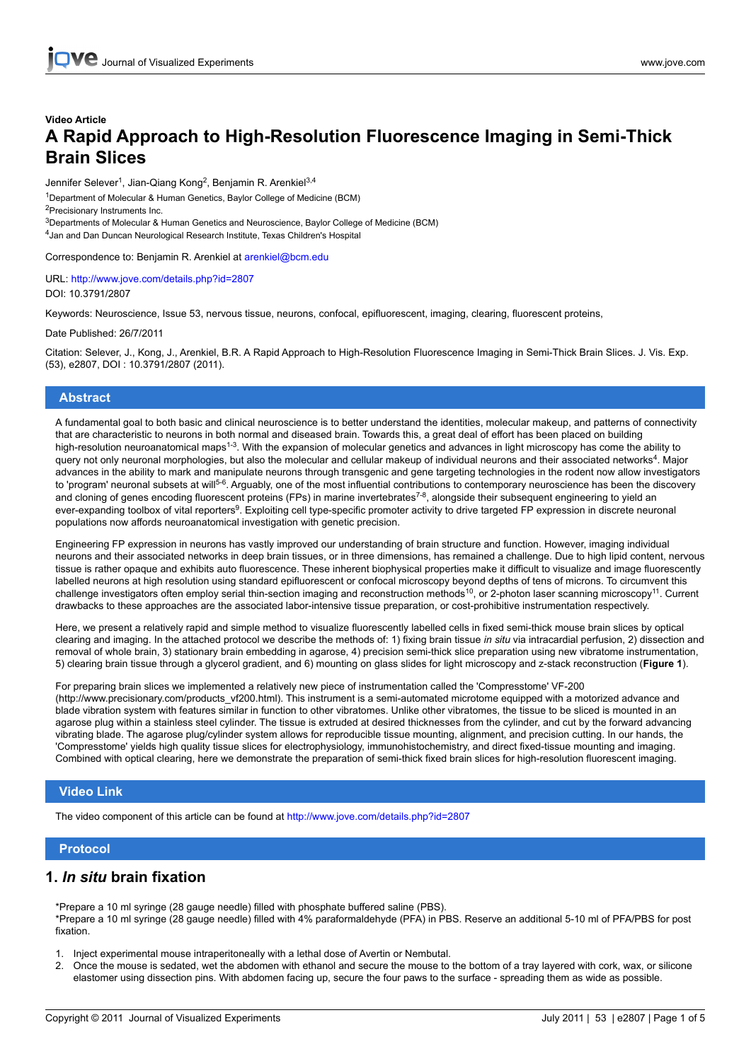# **Video Article A Rapid Approach to High-Resolution Fluorescence Imaging in Semi-Thick Brain Slices**

Jennifer Selever<sup>1</sup>, Jian-Qiang Kong<sup>2</sup>, Benjamin R. Arenkiel<sup>3,4</sup>

<sup>1</sup>Department of Molecular & Human Genetics, Baylor College of Medicine (BCM)

<sup>2</sup>Precisionary Instruments Inc. <sup>3</sup>Departments of Molecular & Human Genetics and Neuroscience, Baylor College of Medicine (BCM)

4 Jan and Dan Duncan Neurological Research Institute, Texas Children's Hospital

Correspondence to: Benjamin R. Arenkiel at arenkiel@bcm.edu

URL: <http://www.jove.com/details.php?id=2807> DOI: 10.3791/2807

Keywords: Neuroscience, Issue 53, nervous tissue, neurons, confocal, epifluorescent, imaging, clearing, fluorescent proteins,

Date Published: 26/7/2011

Citation: Selever, J., Kong, J., Arenkiel, B.R. A Rapid Approach to High-Resolution Fluorescence Imaging in Semi-Thick Brain Slices. J. Vis. Exp. (53), e2807, DOI : 10.3791/2807 (2011).

### **Abstract**

A fundamental goal to both basic and clinical neuroscience is to better understand the identities, molecular makeup, and patterns of connectivity that are characteristic to neurons in both normal and diseased brain. Towards this, a great deal of effort has been placed on building high-resolution neuroanatomical maps<sup>1-3</sup>. With the expansion of molecular genetics and advances in light microscopy has come the ability to query not only neuronal morphologies, but also the molecular and cellular makeup of individual neurons and their associated networks<sup>4</sup>. Major advances in the ability to mark and manipulate neurons through transgenic and gene targeting technologies in the rodent now allow investigators to 'program' neuronal subsets at will<sup>5-6</sup>. Arguably, one of the most influential contributions to contemporary neuroscience has been the discovery and cloning of genes encoding fluorescent proteins (FPs) in marine invertebrates<sup>7-8</sup>, alongside their subsequent engineering to yield an ever-expanding toolbox of vital reporters<sup>9</sup>. Exploiting cell type-specific promoter activity to drive targeted FP expression in discrete neuronal populations now affords neuroanatomical investigation with genetic precision.

Engineering FP expression in neurons has vastly improved our understanding of brain structure and function. However, imaging individual neurons and their associated networks in deep brain tissues, or in three dimensions, has remained a challenge. Due to high lipid content, nervous tissue is rather opaque and exhibits auto fluorescence. These inherent biophysical properties make it difficult to visualize and image fluorescently labelled neurons at high resolution using standard epifluorescent or confocal microscopy beyond depths of tens of microns. To circumvent this challenge investigators often employ serial thin-section imaging and reconstruction methods<sup>10</sup>, or 2-photon laser scanning microscopy<sup>11</sup>. Current drawbacks to these approaches are the associated labor-intensive tissue preparation, or cost-prohibitive instrumentation respectively.

Here, we present a relatively rapid and simple method to visualize fluorescently labelled cells in fixed semi-thick mouse brain slices by optical clearing and imaging. In the attached protocol we describe the methods of: 1) fixing brain tissue *in situ* via intracardial perfusion, 2) dissection and removal of whole brain, 3) stationary brain embedding in agarose, 4) precision semi-thick slice preparation using new vibratome instrumentation, 5) clearing brain tissue through a glycerol gradient, and 6) mounting on glass slides for light microscopy and z-stack reconstruction (**Figure 1**).

For preparing brain slices we implemented a relatively new piece of instrumentation called the 'Compresstome' VF-200 (http://www.precisionary.com/products\_vf200.html). This instrument is a semi-automated microtome equipped with a motorized advance and blade vibration system with features similar in function to other vibratomes. Unlike other vibratomes, the tissue to be sliced is mounted in an agarose plug within a stainless steel cylinder. The tissue is extruded at desired thicknesses from the cylinder, and cut by the forward advancing vibrating blade. The agarose plug/cylinder system allows for reproducible tissue mounting, alignment, and precision cutting. In our hands, the 'Compresstome' yields high quality tissue slices for electrophysiology, immunohistochemistry, and direct fixed-tissue mounting and imaging. Combined with optical clearing, here we demonstrate the preparation of semi-thick fixed brain slices for high-resolution fluorescent imaging.

### **Video Link**

The video component of this article can be found at <http://www.jove.com/details.php?id=2807>

### **Protocol**

### **1.** *In situ* **brain fixation**

\*Prepare a 10 ml syringe (28 gauge needle) filled with phosphate buffered saline (PBS). \*Prepare a 10 ml syringe (28 gauge needle) filled with 4% paraformaldehyde (PFA) in PBS. Reserve an additional 5-10 ml of PFA/PBS for post fixation.

- 1. Inject experimental mouse intraperitoneally with a lethal dose of Avertin or Nembutal.
- 2. Once the mouse is sedated, wet the abdomen with ethanol and secure the mouse to the bottom of a tray layered with cork, wax, or silicone elastomer using dissection pins. With abdomen facing up, secure the four paws to the surface - spreading them as wide as possible.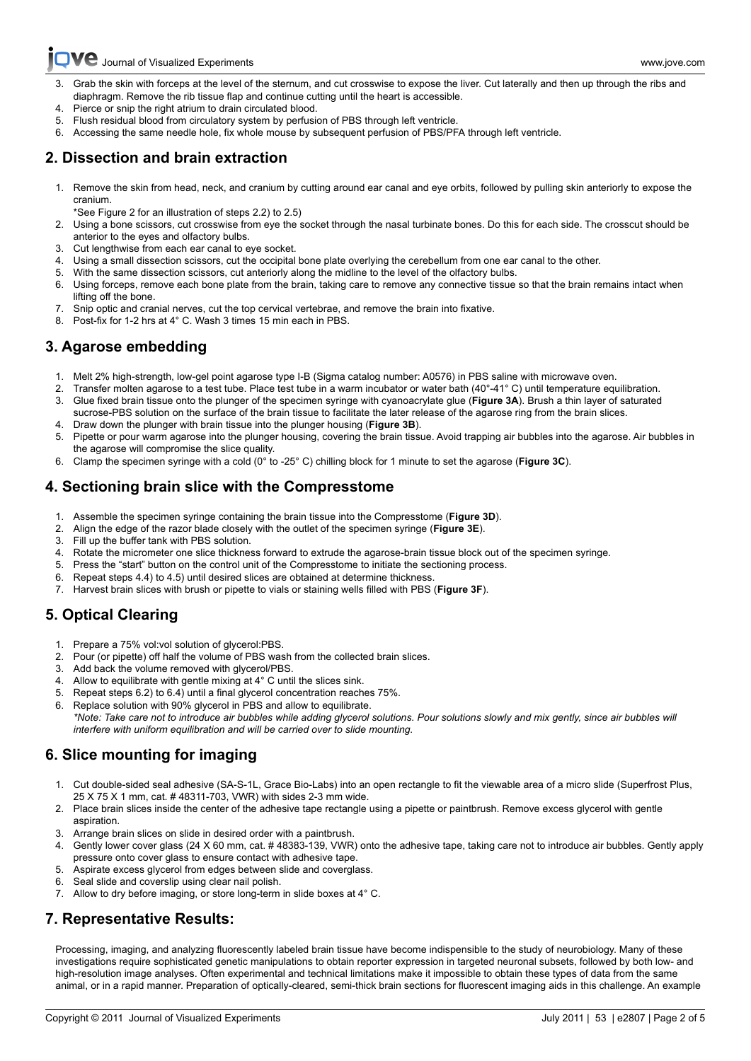

- [3. Grab](http://www.jove.com) the skin with forceps at the level of the sternum, and cut crosswise to expose the liver. Cut laterally and then up through the ribs and diaphragm. Remove the rib tissue flap and continue cutting until the heart is accessible.
- 4. Pierce or snip the right atrium to drain circulated blood.
- Flush residual blood from circulatory system by perfusion of PBS through left ventricle.
- 6. Accessing the same needle hole, fix whole mouse by subsequent perfusion of PBS/PFA through left ventricle.

## **2. Dissection and brain extraction**

- 1. Remove the skin from head, neck, and cranium by cutting around ear canal and eye orbits, followed by pulling skin anteriorly to expose the cranium.
	- \*See Figure 2 for an illustration of steps 2.2) to 2.5)
- 2. Using a bone scissors, cut crosswise from eye the socket through the nasal turbinate bones. Do this for each side. The crosscut should be anterior to the eyes and olfactory bulbs.
- 3. Cut lengthwise from each ear canal to eye socket.
- Using a small dissection scissors, cut the occipital bone plate overlying the cerebellum from one ear canal to the other.
- 5. With the same dissection scissors, cut anteriorly along the midline to the level of the olfactory bulbs.
- 6. Using forceps, remove each bone plate from the brain, taking care to remove any connective tissue so that the brain remains intact when lifting off the bone.
- 7. Snip optic and cranial nerves, cut the top cervical vertebrae, and remove the brain into fixative.
- 8. Post-fix for 1-2 hrs at 4° C. Wash 3 times 15 min each in PBS.

## **3. Agarose embedding**

- 1. Melt 2% high-strength, low-gel point agarose type I-B (Sigma catalog number: A0576) in PBS saline with microwave oven.
- 2. Transfer molten agarose to a test tube. Place test tube in a warm incubator or water bath (40°-41° C) until temperature equilibration.
- 3. Glue fixed brain tissue onto the plunger of the specimen syringe with cyanoacrylate glue (**Figure 3A**). Brush a thin layer of saturated sucrose-PBS solution on the surface of the brain tissue to facilitate the later release of the agarose ring from the brain slices.
- 4. Draw down the plunger with brain tissue into the plunger housing (**Figure 3B**).
- 5. Pipette or pour warm agarose into the plunger housing, covering the brain tissue. Avoid trapping air bubbles into the agarose. Air bubbles in the agarose will compromise the slice quality.
- 6. Clamp the specimen syringe with a cold (0° to -25° C) chilling block for 1 minute to set the agarose (**Figure 3C**).

## **4. Sectioning brain slice with the Compresstome**

- 1. Assemble the specimen syringe containing the brain tissue into the Compresstome (**Figure 3D**).
- 2. Align the edge of the razor blade closely with the outlet of the specimen syringe (**Figure 3E**).
- 3. Fill up the buffer tank with PBS solution.
- 4. Rotate the micrometer one slice thickness forward to extrude the agarose-brain tissue block out of the specimen syringe.
- 5. Press the "start" button on the control unit of the Compresstome to initiate the sectioning process.
- 6. Repeat steps 4.4) to 4.5) until desired slices are obtained at determine thickness.
- 7. Harvest brain slices with brush or pipette to vials or staining wells filled with PBS (**Figure 3F**).

# **5. Optical Clearing**

- 1. Prepare a 75% vol:vol solution of glycerol:PBS.
- 2. Pour (or pipette) off half the volume of PBS wash from the collected brain slices.
- 3. Add back the volume removed with glycerol/PBS.
- 4. Allow to equilibrate with gentle mixing at 4° C until the slices sink.
- 5. Repeat steps 6.2) to 6.4) until a final glycerol concentration reaches 75%.
- 6. Replace solution with 90% glycerol in PBS and allow to equilibrate. *\*Note: Take care not to introduce air bubbles while adding glycerol solutions. Pour solutions slowly and mix gently, since air bubbles will interfere with uniform equilibration and will be carried over to slide mounting.*

# **6. Slice mounting for imaging**

- 1. Cut double-sided seal adhesive (SA-S-1L, Grace Bio-Labs) into an open rectangle to fit the viewable area of a micro slide (Superfrost Plus, 25 X 75 X 1 mm, cat. # 48311-703, VWR) with sides 2-3 mm wide.
- 2. Place brain slices inside the center of the adhesive tape rectangle using a pipette or paintbrush. Remove excess glycerol with gentle aspiration.
- 3. Arrange brain slices on slide in desired order with a paintbrush.
- 4. Gently lower cover glass (24 X 60 mm, cat. # 48383-139, VWR) onto the adhesive tape, taking care not to introduce air bubbles. Gently apply pressure onto cover glass to ensure contact with adhesive tape.
- 5. Aspirate excess glycerol from edges between slide and coverglass.
- 6. Seal slide and coverslip using clear nail polish.
- 7. Allow to dry before imaging, or store long-term in slide boxes at 4° C.

## **7. Representative Results:**

Processing, imaging, and analyzing fluorescently labeled brain tissue have become indispensible to the study of neurobiology. Many of these investigations require sophisticated genetic manipulations to obtain reporter expression in targeted neuronal subsets, followed by both low- and high-resolution image analyses. Often experimental and technical limitations make it impossible to obtain these types of data from the same animal, or in a rapid manner. Preparation of optically-cleared, semi-thick brain sections for fluorescent imaging aids in this challenge. An example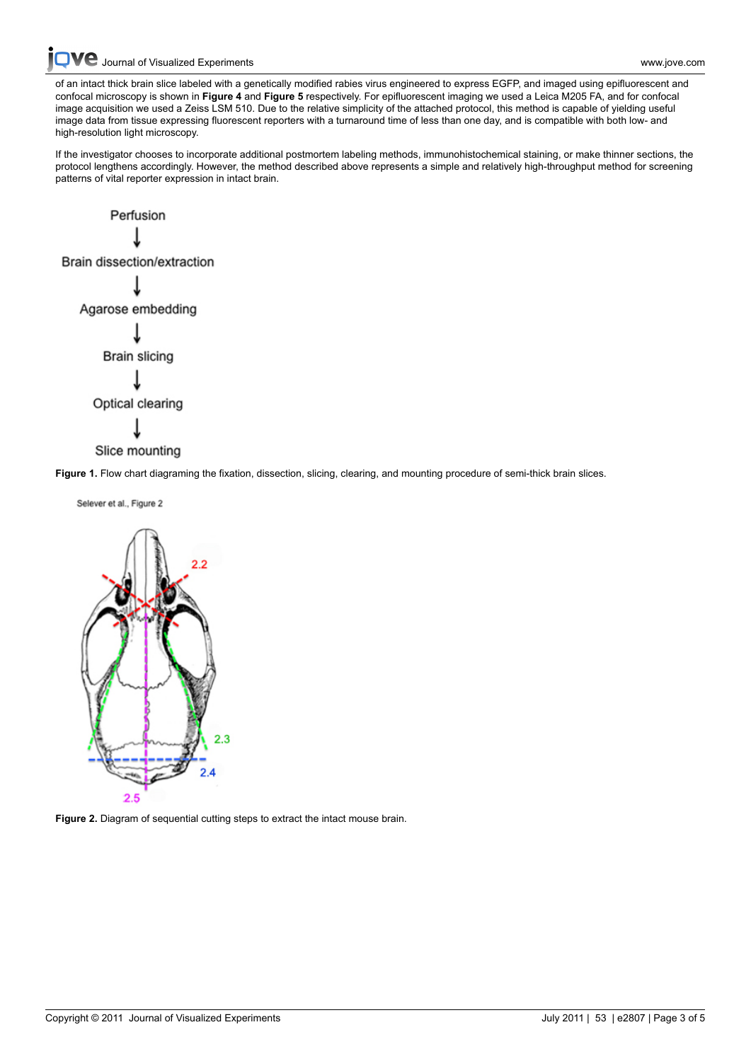[Journal of Visualized Experiments www.jove.com](http://www.jove.com)

[of an intac](http://www.jove.com)t thick brain slice labeled with a genetically modified rabies virus engineered to express EGFP, and imaged using epifluorescent and confocal microscopy is shown in **Figure 4** and **Figure 5** respectively. For epifluorescent imaging we used a Leica M205 FA, and for confocal image acquisition we used a Zeiss LSM 510. Due to the relative simplicity of the attached protocol, this method is capable of yielding useful image data from tissue expressing fluorescent reporters with a turnaround time of less than one day, and is compatible with both low- and high-resolution light microscopy.

If the investigator chooses to incorporate additional postmortem labeling methods, immunohistochemical staining, or make thinner sections, the protocol lengthens accordingly. However, the method described above represents a simple and relatively high-throughput method for screening patterns of vital reporter expression in intact brain.



**Figure 1.** Flow chart diagraming the fixation, dissection, slicing, clearing, and mounting procedure of semi-thick brain slices.



**Figure 2.** Diagram of sequential cutting steps to extract the intact mouse brain.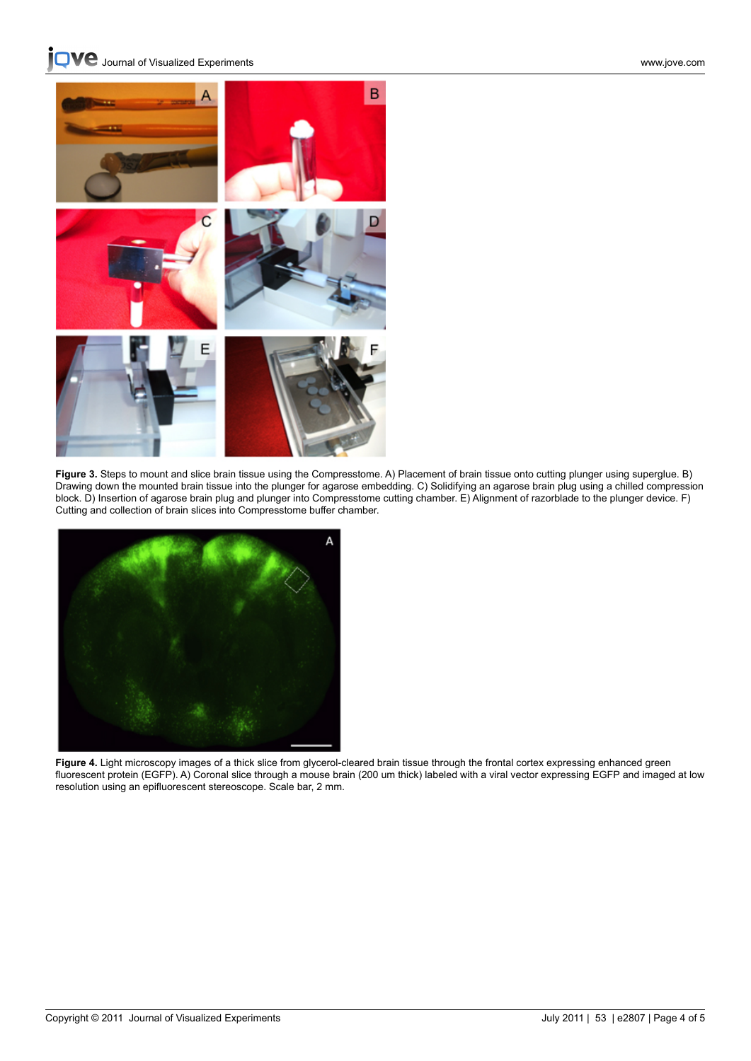**VC** [Journal of Visualized Experiments www.jove.com](http://www.jove.com)



**Figure 3.** Steps to mount and slice brain tissue using the Compresstome. A) Placement of brain tissue onto cutting plunger using superglue. B) Drawing down the mounted brain tissue into the plunger for agarose embedding. C) Solidifying an agarose brain plug using a chilled compression block. D) Insertion of agarose brain plug and plunger into Compresstome cutting chamber. E) Alignment of razorblade to the plunger device. F) Cutting and collection of brain slices into Compresstome buffer chamber.



**Figure 4.** Light microscopy images of a thick slice from glycerol-cleared brain tissue through the frontal cortex expressing enhanced green fluorescent protein (EGFP). A) Coronal slice through a mouse brain (200 um thick) labeled with a viral vector expressing EGFP and imaged at low resolution using an epifluorescent stereoscope. Scale bar, 2 mm.